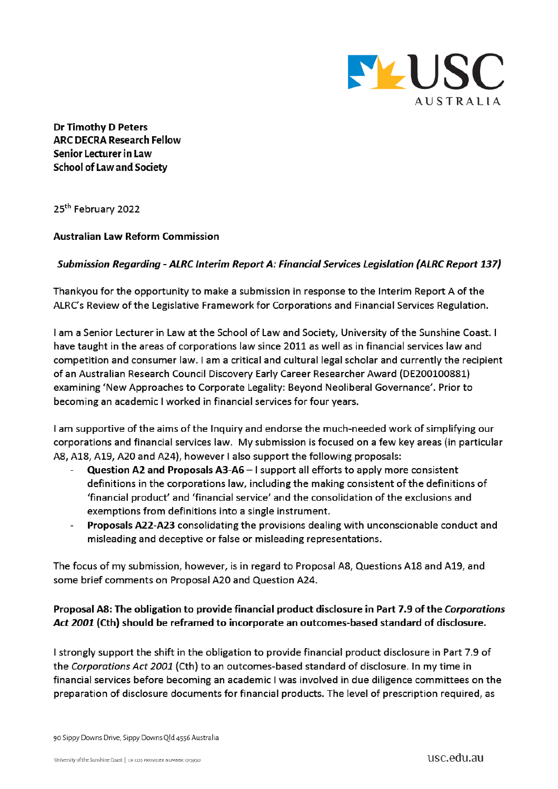

**Dr Timothy D Peters ARC DECRA Research Fellow** Senior Lecturer in Law **School of Law and Society** 

25<sup>th</sup> February 2022

#### **Australian Law Reform Commission**

#### Submission Regarding - ALRC Interim Report A: Financial Services Legislation (ALRC Report 137)

Thankyou for the opportunity to make a submission in response to the Interim Report A of the ALRC's Review of the Legislative Framework for Corporations and Financial Services Regulation.

I am a Senior Lecturer in Law at the School of Law and Society, University of the Sunshine Coast. I have taught in the areas of corporations law since 2011 as well as in financial services law and competition and consumer law. I am a critical and cultural legal scholar and currently the recipient of an Australian Research Council Discovery Early Career Researcher Award (DE200100881) examining 'New Approaches to Corporate Legality: Beyond Neoliberal Governance'. Prior to becoming an academic I worked in financial services for four years.

I am supportive of the aims of the Inquiry and endorse the much-needed work of simplifying our corporations and financial services law. My submission is focused on a few key areas (in particular A8, A18, A19, A20 and A24), however I also support the following proposals:

- Question A2 and Proposals A3-A6 I support all efforts to apply more consistent definitions in the corporations law, including the making consistent of the definitions of 'financial product' and 'financial service' and the consolidation of the exclusions and exemptions from definitions into a single instrument.
- Proposals A22-A23 consolidating the provisions dealing with unconscionable conduct and misleading and deceptive or false or misleading representations.

The focus of my submission, however, is in regard to Proposal A8, Questions A18 and A19, and some brief comments on Proposal A20 and Question A24.

### Proposal A8: The obligation to provide financial product disclosure in Part 7.9 of the Corporations Act 2001 (Cth) should be reframed to incorporate an outcomes-based standard of disclosure.

I strongly support the shift in the obligation to provide financial product disclosure in Part 7.9 of the Corporations Act 2001 (Cth) to an outcomes-based standard of disclosure. In my time in financial services before becoming an academic I was involved in due diligence committees on the preparation of disclosure documents for financial products. The level of prescription required, as

90 Sippy Downs Drive, Sippy Downs Qld 4556 Australia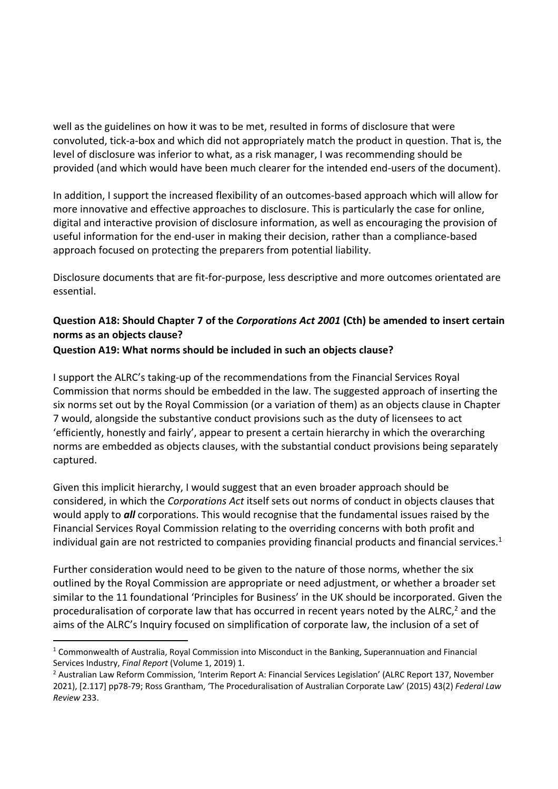well as the guidelines on how it was to be met, resulted in forms of disclosure that were convoluted, tick-a-box and which did not appropriately match the product in question. That is, the level of disclosure was inferior to what, as a risk manager, I was recommending should be provided (and which would have been much clearer for the intended end-users of the document).

In addition, I support the increased flexibility of an outcomes-based approach which will allow for more innovative and effective approaches to disclosure. This is particularly the case for online, digital and interactive provision of disclosure information, as well as encouraging the provision of useful information for the end-user in making their decision, rather than a compliance-based approach focused on protecting the preparers from potential liability.

Disclosure documents that are fit-for-purpose, less descriptive and more outcomes orientated are essential.

# **Question A18: Should Chapter 7 of the** *Corporations Act 2001* **(Cth) be amended to insert certain norms as an objects clause?**

### **Question A19: What norms should be included in such an objects clause?**

I support the ALRC's taking-up of the recommendations from the Financial Services Royal Commission that norms should be embedded in the law. The suggested approach of inserting the six norms set out by the Royal Commission (or a variation of them) as an objects clause in Chapter 7 would, alongside the substantive conduct provisions such as the duty of licensees to act 'efficiently, honestly and fairly', appear to present a certain hierarchy in which the overarching norms are embedded as objects clauses, with the substantial conduct provisions being separately captured.

Given this implicit hierarchy, I would suggest that an even broader approach should be considered, in which the *Corporations Act* itself sets out norms of conduct in objects clauses that would apply to *all* corporations. This would recognise that the fundamental issues raised by the Financial Services Royal Commission relating to the overriding concerns with both profit and individual gain are not restricted to companies providing financial products and financial services.<sup>1</sup>

Further consideration would need to be given to the nature of those norms, whether the six outlined by the Royal Commission are appropriate or need adjustment, or whether a broader set similar to the 11 foundational 'Principles for Business' in the UK should be incorporated. Given the proceduralisation of corporate law that has occurred in recent years noted by the ALRC,<sup>2</sup> and the aims of the ALRC's Inquiry focused on simplification of corporate law, the inclusion of a set of

 $1$  Commonwealth of Australia, Royal Commission into Misconduct in the Banking, Superannuation and Financial Services Industry, *Final Report* (Volume 1, 2019) 1.

<sup>&</sup>lt;sup>2</sup> Australian Law Reform Commission, 'Interim Report A: Financial Services Legislation' (ALRC Report 137, November 2021), [2.117] pp78-79; Ross Grantham, 'The Proceduralisation of Australian Corporate Law' (2015) 43(2) *Federal Law Review* 233.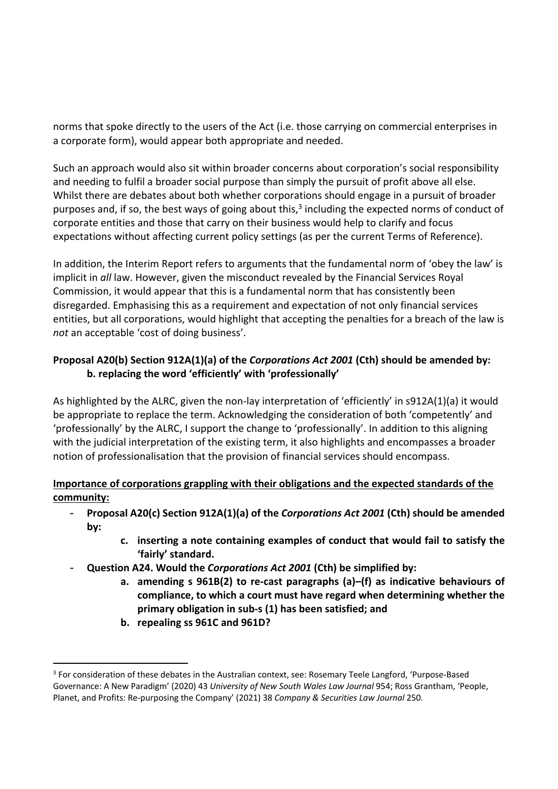norms that spoke directly to the users of the Act (i.e. those carrying on commercial enterprises in a corporate form), would appear both appropriate and needed.

Such an approach would also sit within broader concerns about corporation's social responsibility and needing to fulfil a broader social purpose than simply the pursuit of profit above all else. Whilst there are debates about both whether corporations should engage in a pursuit of broader purposes and, if so, the best ways of going about this,<sup>3</sup> including the expected norms of conduct of corporate entities and those that carry on their business would help to clarify and focus expectations without affecting current policy settings (as per the current Terms of Reference).

In addition, the Interim Report refers to arguments that the fundamental norm of 'obey the law' is implicit in *all* law. However, given the misconduct revealed by the Financial Services Royal Commission, it would appear that this is a fundamental norm that has consistently been disregarded. Emphasising this as a requirement and expectation of not only financial services entities, but all corporations, would highlight that accepting the penalties for a breach of the law is *not* an acceptable 'cost of doing business'.

# **Proposal A20(b) Section 912A(1)(a) of the** *Corporations Act 2001* **(Cth) should be amended by: b. replacing the word 'efficiently' with 'professionally'**

As highlighted by the ALRC, given the non-lay interpretation of 'efficiently' in s912A(1)(a) it would be appropriate to replace the term. Acknowledging the consideration of both 'competently' and 'professionally' by the ALRC, I support the change to 'professionally'. In addition to this aligning with the judicial interpretation of the existing term, it also highlights and encompasses a broader notion of professionalisation that the provision of financial services should encompass.

## **Importance of corporations grappling with their obligations and the expected standards of the community:**

- **Proposal A20(c) Section 912A(1)(a) of the** *Corporations Act 2001* **(Cth) should be amended by:** 
	- **c. inserting a note containing examples of conduct that would fail to satisfy the 'fairly' standard.**
- **Question A24. Would the** *Corporations Act 2001* **(Cth) be simplified by:** 
	- **a. amending s 961B(2) to re-cast paragraphs (a)–(f) as indicative behaviours of compliance, to which a court must have regard when determining whether the primary obligation in sub-s (1) has been satisfied; and**
	- **b. repealing ss 961C and 961D?**

<sup>&</sup>lt;sup>3</sup> For consideration of these debates in the Australian context, see: Rosemary Teele Langford, 'Purpose-Based Governance: A New Paradigm' (2020) 43 *University of New South Wales Law Journal* 954; Ross Grantham, 'People, Planet, and Profits: Re-purposing the Company' (2021) 38 *Company & Securities Law Journal* 250.